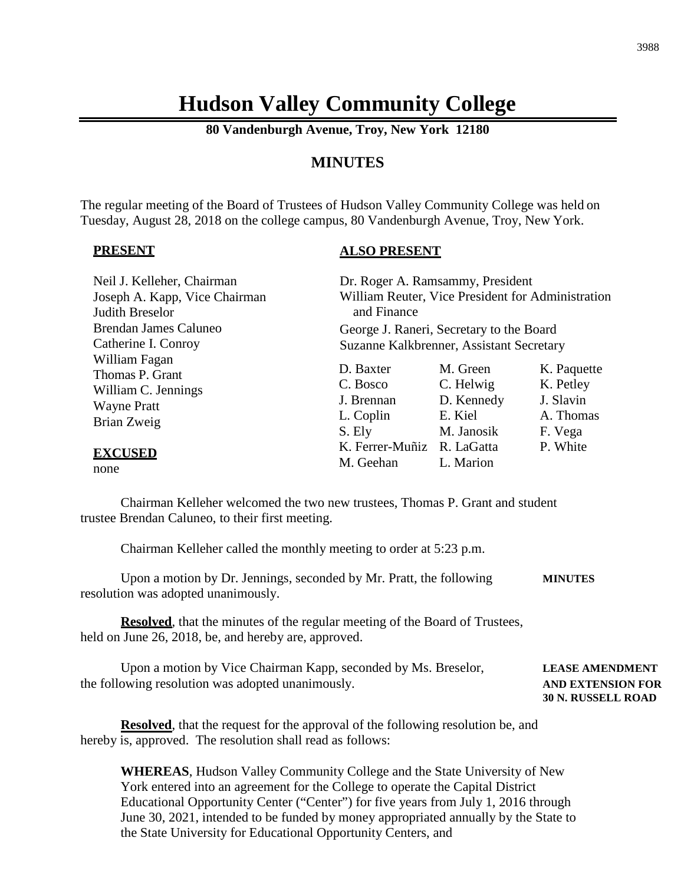# **Hudson Valley Community College**

**80 Vandenburgh Avenue, Troy, New York 12180**

# **MINUTES**

The regular meeting of the Board of Trustees of Hudson Valley Community College was held on Tuesday, August 28, 2018 on the college campus, 80 Vandenburgh Avenue, Troy, New York.

#### **PRESENT**

#### **ALSO PRESENT**

| Neil J. Kelleher, Chairman<br>Joseph A. Kapp, Vice Chairman<br>Judith Breselor               | and Finance                                                | Dr. Roger A. Ramsammy, President<br>William Reuter, Vice President for Administration |                                                               |
|----------------------------------------------------------------------------------------------|------------------------------------------------------------|---------------------------------------------------------------------------------------|---------------------------------------------------------------|
| <b>Brendan James Caluneo</b>                                                                 |                                                            | George J. Raneri, Secretary to the Board                                              |                                                               |
| Catherine I. Conroy                                                                          |                                                            | Suzanne Kalkbrenner, Assistant Secretary                                              |                                                               |
| William Fagan<br>Thomas P. Grant<br>William C. Jennings<br><b>Wayne Pratt</b><br>Brian Zweig | D. Baxter<br>C. Bosco<br>J. Brennan<br>L. Coplin<br>S. Ely | M. Green<br>C. Helwig<br>D. Kennedy<br>E. Kiel<br>M. Janosik                          | K. Paquette<br>K. Petley<br>J. Slavin<br>A. Thomas<br>F. Vega |
| <b>EXCUSED</b><br>none                                                                       | K. Ferrer-Muñiz R. LaGatta<br>M. Geehan                    | L. Marion                                                                             | P. White                                                      |

Chairman Kelleher welcomed the two new trustees, Thomas P. Grant and student trustee Brendan Caluneo, to their first meeting.

Chairman Kelleher called the monthly meeting to order at 5:23 p.m.

Upon a motion by Dr. Jennings, seconded by Mr. Pratt, the following **MINUTES** resolution was adopted unanimously.

**Resolved**, that the minutes of the regular meeting of the Board of Trustees, held on June 26, 2018, be, and hereby are, approved.

| Upon a motion by Vice Chairman Kapp, seconded by Ms. Breselor, | <b>LEASE AMENDMENT</b>    |
|----------------------------------------------------------------|---------------------------|
| the following resolution was adopted unanimously.              | <b>AND EXTENSION FOR</b>  |
|                                                                | <b>30 N. RUSSELL ROAD</b> |

**Resolved**, that the request for the approval of the following resolution be, and hereby is, approved. The resolution shall read as follows:

**WHEREAS**, Hudson Valley Community College and the State University of New York entered into an agreement for the College to operate the Capital District Educational Opportunity Center ("Center") for five years from July 1, 2016 through June 30, 2021, intended to be funded by money appropriated annually by the State to the State University for Educational Opportunity Centers, and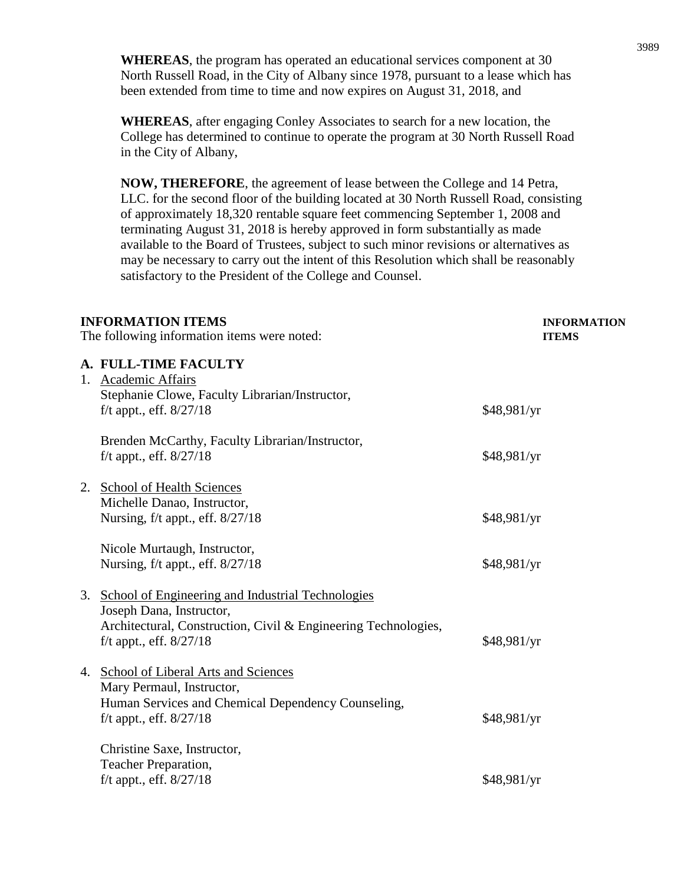**WHEREAS**, the program has operated an educational services component at 30 North Russell Road, in the City of Albany since 1978, pursuant to a lease which has been extended from time to time and now expires on August 31, 2018, and

**WHEREAS**, after engaging Conley Associates to search for a new location, the College has determined to continue to operate the program at 30 North Russell Road in the City of Albany,

**NOW, THEREFORE**, the agreement of lease between the College and 14 Petra, LLC. for the second floor of the building located at 30 North Russell Road, consisting of approximately 18,320 rentable square feet commencing September 1, 2008 and terminating August 31, 2018 is hereby approved in form substantially as made available to the Board of Trustees, subject to such minor revisions or alternatives as may be necessary to carry out the intent of this Resolution which shall be reasonably satisfactory to the President of the College and Counsel.

| <b>INFORMATION ITEMS</b><br>The following information items were noted: |                                                                                                                                                                                | <b>INFORMATION</b><br><b>ITEMS</b> |
|-------------------------------------------------------------------------|--------------------------------------------------------------------------------------------------------------------------------------------------------------------------------|------------------------------------|
|                                                                         | A. FULL-TIME FACULTY<br>1. Academic Affairs<br>Stephanie Clowe, Faculty Librarian/Instructor,<br>$f/t$ appt., eff. $8/27/18$                                                   | \$48,981/yr                        |
|                                                                         | Brenden McCarthy, Faculty Librarian/Instructor,<br>f/t appt., eff. $8/27/18$                                                                                                   | \$48,981/yr                        |
| 2.                                                                      | <b>School of Health Sciences</b><br>Michelle Danao, Instructor,<br>Nursing, f/t appt., eff. 8/27/18                                                                            | \$48,981/yr                        |
|                                                                         | Nicole Murtaugh, Instructor,<br>Nursing, f/t appt., eff. 8/27/18                                                                                                               | \$48,981/yr                        |
| 3.                                                                      | School of Engineering and Industrial Technologies<br>Joseph Dana, Instructor,<br>Architectural, Construction, Civil & Engineering Technologies,<br>$f/t$ appt., eff. $8/27/18$ | \$48,981/yr                        |
|                                                                         | 4. School of Liberal Arts and Sciences<br>Mary Permaul, Instructor,<br>Human Services and Chemical Dependency Counseling,<br>f/t appt., eff. 8/27/18                           | \$48,981/yr                        |
|                                                                         | Christine Saxe, Instructor,<br>Teacher Preparation,<br>f/t appt., eff. 8/27/18                                                                                                 | \$48,981/yr                        |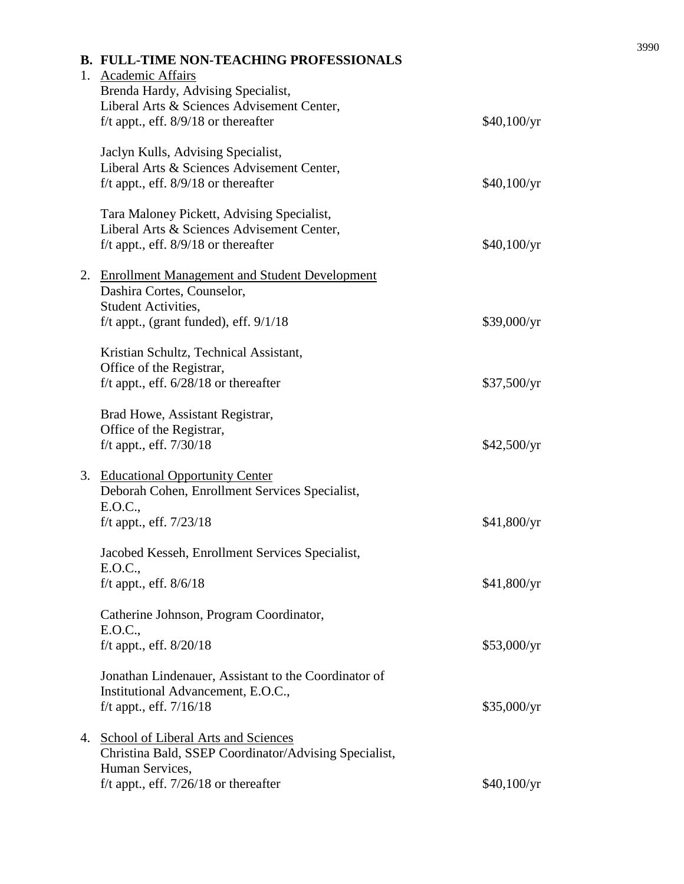| <b>B. FULL-TIME NON-TEACHING PROFESSIONALS</b><br>1. Academic Affairs<br>Brenda Hardy, Advising Specialist,<br>Liberal Arts & Sciences Advisement Center,<br>f/t appt., eff. $8/9/18$ or thereafter | \$40,100/yr |
|-----------------------------------------------------------------------------------------------------------------------------------------------------------------------------------------------------|-------------|
| Jaclyn Kulls, Advising Specialist,<br>Liberal Arts & Sciences Advisement Center,<br>f/t appt., eff. $8/9/18$ or thereafter                                                                          | \$40,100/yr |
| Tara Maloney Pickett, Advising Specialist,<br>Liberal Arts & Sciences Advisement Center,<br>f/t appt., eff. $8/9/18$ or thereafter                                                                  | \$40,100/yr |
| 2. Enrollment Management and Student Development<br>Dashira Cortes, Counselor,<br><b>Student Activities,</b><br>f/t appt., (grant funded), eff. $9/1/18$                                            | \$39,000/yr |
| Kristian Schultz, Technical Assistant,<br>Office of the Registrar,<br>f/t appt., eff. $6/28/18$ or thereafter                                                                                       | \$37,500/yr |
| Brad Howe, Assistant Registrar,<br>Office of the Registrar,<br>$f/t$ appt., eff. $7/30/18$                                                                                                          | \$42,500/yr |
| 3. Educational Opportunity Center<br>Deborah Cohen, Enrollment Services Specialist,<br>E.O.C.,<br>f/t appt., eff. $7/23/18$                                                                         | \$41,800/yr |
| Jacobed Kesseh, Enrollment Services Specialist,<br>E.O.C.,<br>$f/t$ appt., eff. $8/6/18$                                                                                                            | \$41,800/yr |
| Catherine Johnson, Program Coordinator,<br>E.O.C.,<br>$f/t$ appt., eff. $8/20/18$                                                                                                                   | \$53,000/yr |
| Jonathan Lindenauer, Assistant to the Coordinator of<br>Institutional Advancement, E.O.C.,<br>f/t appt., eff. $7/16/18$                                                                             | \$35,000/yr |
| 4. School of Liberal Arts and Sciences<br>Christina Bald, SSEP Coordinator/Advising Specialist,                                                                                                     |             |
| Human Services,<br>f/t appt., eff. $7/26/18$ or thereafter                                                                                                                                          | \$40,100/yr |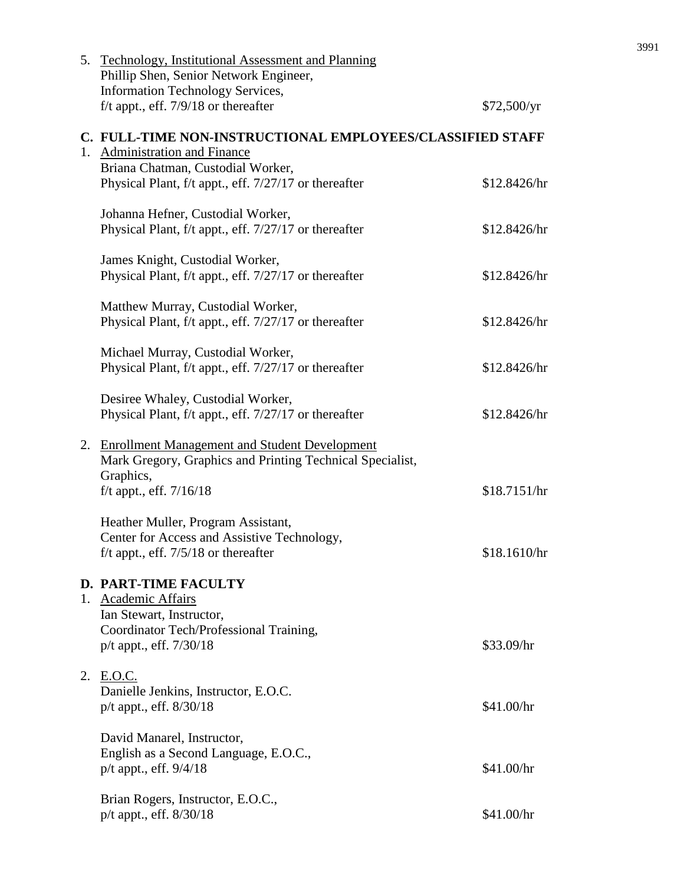| 5. Technology, Institutional Assessment and Planning<br>Phillip Shen, Senior Network Engineer,<br><b>Information Technology Services,</b> |              |
|-------------------------------------------------------------------------------------------------------------------------------------------|--------------|
| f/t appt., eff. $7/9/18$ or thereafter                                                                                                    | \$72,500/yr  |
| C. FULL-TIME NON-INSTRUCTIONAL EMPLOYEES/CLASSIFIED STAFF<br>1. Administration and Finance<br>Briana Chatman, Custodial Worker,           |              |
| Physical Plant, f/t appt., eff. 7/27/17 or thereafter                                                                                     | \$12.8426/hr |
| Johanna Hefner, Custodial Worker,<br>Physical Plant, f/t appt., eff. 7/27/17 or thereafter                                                | \$12.8426/hr |
| James Knight, Custodial Worker,<br>Physical Plant, f/t appt., eff. 7/27/17 or thereafter                                                  | \$12.8426/hr |
| Matthew Murray, Custodial Worker,<br>Physical Plant, f/t appt., eff. 7/27/17 or thereafter                                                | \$12.8426/hr |
| Michael Murray, Custodial Worker,<br>Physical Plant, f/t appt., eff. 7/27/17 or thereafter                                                | \$12.8426/hr |
| Desiree Whaley, Custodial Worker,<br>Physical Plant, f/t appt., eff. 7/27/17 or thereafter                                                | \$12.8426/hr |
| 2. Enrollment Management and Student Development<br>Mark Gregory, Graphics and Printing Technical Specialist,<br>Graphics,                |              |
| f/t appt., eff. $7/16/18$                                                                                                                 | \$18.7151/hr |
| Heather Muller, Program Assistant,<br>Center for Access and Assistive Technology,<br>f/t appt., eff. $7/5/18$ or thereafter               | \$18.1610/hr |
| <b>D. PART-TIME FACULTY</b><br>1. Academic Affairs                                                                                        |              |
| Ian Stewart, Instructor,<br>Coordinator Tech/Professional Training,<br>p/t appt., eff. 7/30/18                                            | \$33.09/hr   |
| 2. E.O.C.<br>Danielle Jenkins, Instructor, E.O.C.<br>$p/t$ appt., eff. $8/30/18$                                                          | \$41.00/hr   |
| David Manarel, Instructor,<br>English as a Second Language, E.O.C.,<br>p/t appt., eff. 9/4/18                                             | \$41.00/hr   |
| Brian Rogers, Instructor, E.O.C.,<br>p/t appt., eff. 8/30/18                                                                              | \$41.00/hr   |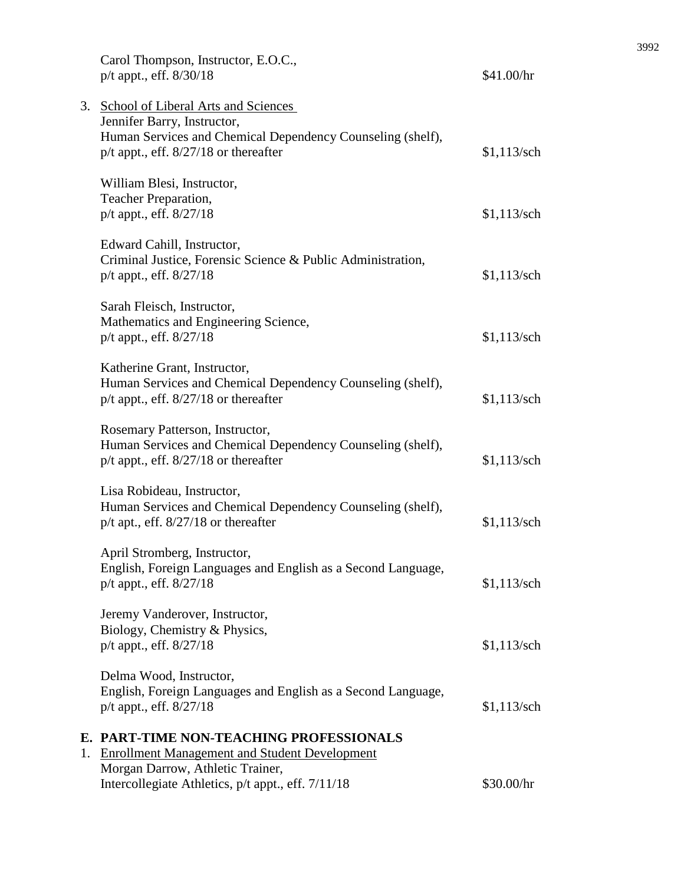|    | Carol Thompson, Instructor, E.O.C.,<br>p/t appt., eff. 8/30/18                                                                                                                   | \$41.00/hr    |
|----|----------------------------------------------------------------------------------------------------------------------------------------------------------------------------------|---------------|
|    | 3. School of Liberal Arts and Sciences<br>Jennifer Barry, Instructor,<br>Human Services and Chemical Dependency Counseling (shelf),<br>$p/t$ appt., eff. $8/27/18$ or thereafter | $$1,113$ /sch |
|    | William Blesi, Instructor,<br>Teacher Preparation,                                                                                                                               |               |
|    | p/t appt., eff. 8/27/18                                                                                                                                                          | $$1,113$ /sch |
|    | Edward Cahill, Instructor,<br>Criminal Justice, Forensic Science & Public Administration,<br>$p/t$ appt., eff. $8/27/18$                                                         | $$1,113$ /sch |
|    | Sarah Fleisch, Instructor,<br>Mathematics and Engineering Science,<br>p/t appt., eff. 8/27/18                                                                                    | $$1,113$ /sch |
|    | Katherine Grant, Instructor,<br>Human Services and Chemical Dependency Counseling (shelf),<br>$p/t$ appt., eff. $8/27/18$ or thereafter                                          | $$1,113$ /sch |
|    | Rosemary Patterson, Instructor,<br>Human Services and Chemical Dependency Counseling (shelf),<br>$p/t$ appt., eff. $8/27/18$ or thereafter                                       | $$1,113$ /sch |
|    | Lisa Robideau, Instructor,<br>Human Services and Chemical Dependency Counseling (shelf),<br>$p/t$ apt., eff. $8/27/18$ or thereafter                                             | $$1,113$ /sch |
|    | April Stromberg, Instructor,<br>English, Foreign Languages and English as a Second Language,<br>$p/t$ appt., eff. $8/27/18$                                                      | $$1,113$ /sch |
|    | Jeremy Vanderover, Instructor,<br>Biology, Chemistry & Physics,<br>p/t appt., eff. 8/27/18                                                                                       | $$1,113$ /sch |
|    | Delma Wood, Instructor,<br>English, Foreign Languages and English as a Second Language,<br>p/t appt., eff. 8/27/18                                                               | $$1,113$ /sch |
| 1. | E. PART-TIME NON-TEACHING PROFESSIONALS<br><b>Enrollment Management and Student Development</b><br>Morgan Darrow, Athletic Trainer,                                              |               |
|    | Intercollegiate Athletics, p/t appt., eff. 7/11/18                                                                                                                               | \$30.00/hr    |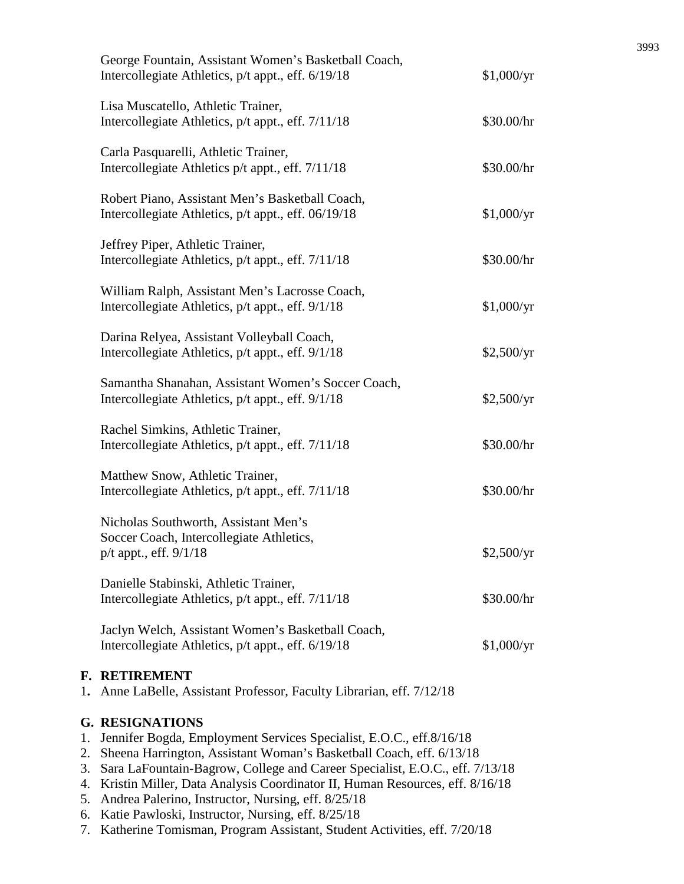| George Fountain, Assistant Women's Basketball Coach,<br>Intercollegiate Athletics, p/t appt., eff. 6/19/18 | \$1,000/yr |
|------------------------------------------------------------------------------------------------------------|------------|
| Lisa Muscatello, Athletic Trainer,<br>Intercollegiate Athletics, p/t appt., eff. 7/11/18                   | \$30.00/hr |
| Carla Pasquarelli, Athletic Trainer,<br>Intercollegiate Athletics p/t appt., eff. 7/11/18                  | \$30.00/hr |
| Robert Piano, Assistant Men's Basketball Coach,<br>Intercollegiate Athletics, p/t appt., eff. 06/19/18     | \$1,000/yr |
| Jeffrey Piper, Athletic Trainer,<br>Intercollegiate Athletics, p/t appt., eff. 7/11/18                     | \$30.00/hr |
| William Ralph, Assistant Men's Lacrosse Coach,<br>Intercollegiate Athletics, p/t appt., eff. 9/1/18        | \$1,000/yr |
| Darina Relyea, Assistant Volleyball Coach,<br>Intercollegiate Athletics, p/t appt., eff. 9/1/18            | \$2,500/yr |
| Samantha Shanahan, Assistant Women's Soccer Coach,<br>Intercollegiate Athletics, p/t appt., eff. 9/1/18    | \$2,500/yr |
| Rachel Simkins, Athletic Trainer,<br>Intercollegiate Athletics, p/t appt., eff. 7/11/18                    | \$30.00/hr |
| Matthew Snow, Athletic Trainer,<br>Intercollegiate Athletics, p/t appt., eff. 7/11/18                      | \$30.00/hr |
| Nicholas Southworth, Assistant Men's<br>Soccer Coach, Intercollegiate Athletics,<br>p/t appt., eff. 9/1/18 | \$2,500/yr |
| Danielle Stabinski, Athletic Trainer,<br>Intercollegiate Athletics, p/t appt., eff. 7/11/18                | \$30.00/hr |
| Jaclyn Welch, Assistant Women's Basketball Coach,<br>Intercollegiate Athletics, p/t appt., eff. 6/19/18    | \$1,000/yr |
|                                                                                                            |            |

# **F. RETIREMENT**

1**.** Anne LaBelle, Assistant Professor, Faculty Librarian, eff. 7/12/18

# **G. RESIGNATIONS**

- 1. Jennifer Bogda, Employment Services Specialist, E.O.C., eff.8/16/18
- 2. Sheena Harrington, Assistant Woman's Basketball Coach, eff. 6/13/18
- 3. Sara LaFountain-Bagrow, College and Career Specialist, E.O.C., eff. 7/13/18
- 4. Kristin Miller, Data Analysis Coordinator II, Human Resources, eff. 8/16/18
- 5. Andrea Palerino, Instructor, Nursing, eff. 8/25/18
- 6. Katie Pawloski, Instructor, Nursing, eff. 8/25/18
- 7. Katherine Tomisman, Program Assistant, Student Activities, eff. 7/20/18